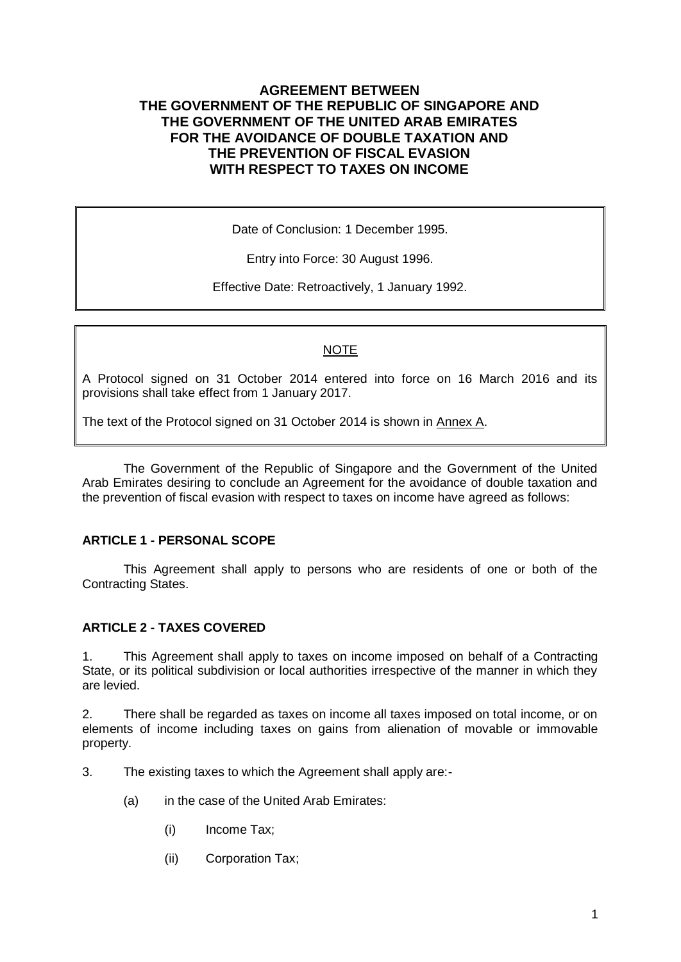## **AGREEMENT BETWEEN THE GOVERNMENT OF THE REPUBLIC OF SINGAPORE AND THE GOVERNMENT OF THE UNITED ARAB EMIRATES FOR THE AVOIDANCE OF DOUBLE TAXATION AND THE PREVENTION OF FISCAL EVASION WITH RESPECT TO TAXES ON INCOME**

Date of Conclusion: 1 December 1995.

Entry into Force: 30 August 1996.

Effective Date: Retroactively, 1 January 1992.

## NOTE

A Protocol signed on 31 October 2014 entered into force on 16 March 2016 and its provisions shall take effect from 1 January 2017.

The text of the Protocol signed on 31 October 2014 is shown in Annex A.

The Government of the Republic of Singapore and the Government of the United Arab Emirates desiring to conclude an Agreement for the avoidance of double taxation and the prevention of fiscal evasion with respect to taxes on income have agreed as follows:

# **ARTICLE 1 - PERSONAL SCOPE**

This Agreement shall apply to persons who are residents of one or both of the Contracting States.

#### **ARTICLE 2 - TAXES COVERED**

1. This Agreement shall apply to taxes on income imposed on behalf of a Contracting State, or its political subdivision or local authorities irrespective of the manner in which they are levied.

2. There shall be regarded as taxes on income all taxes imposed on total income, or on elements of income including taxes on gains from alienation of movable or immovable property.

3. The existing taxes to which the Agreement shall apply are:-

- (a) in the case of the United Arab Emirates:
	- (i) Income Tax;
	- (ii) Corporation Tax;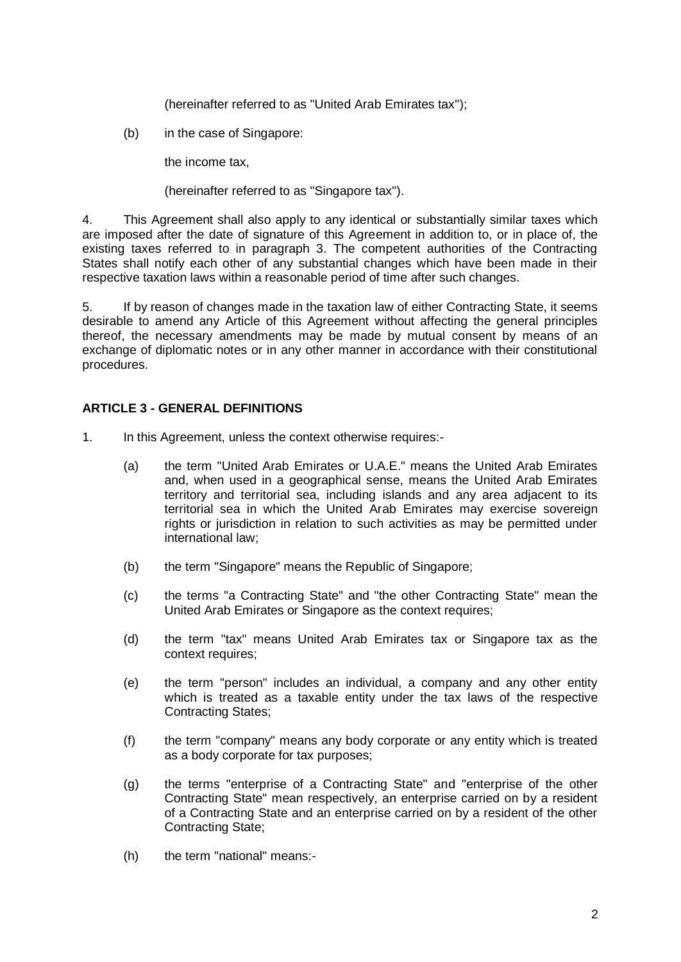(hereinafter referred to as "United Arab Emirates tax");

(b) in the case of Singapore:

the income tax,

(hereinafter referred to as "Singapore tax").

4. This Agreement shall also apply to any identical or substantially similar taxes which are imposed after the date of signature of this Agreement in addition to, or in place of, the existing taxes referred to in paragraph 3. The competent authorities of the Contracting States shall notify each other of any substantial changes which have been made in their respective taxation laws within a reasonable period of time after such changes.

5. If by reason of changes made in the taxation law of either Contracting State, it seems desirable to amend any Article of this Agreement without affecting the general principles thereof, the necessary amendments may be made by mutual consent by means of an exchange of diplomatic notes or in any other manner in accordance with their constitutional procedures.

### **ARTICLE 3 - GENERAL DEFINITIONS**

- 1. In this Agreement, unless the context otherwise requires:-
	- (a) the term "United Arab Emirates or U.A.E." means the United Arab Emirates and, when used in a geographical sense, means the United Arab Emirates territory and territorial sea, including islands and any area adjacent to its territorial sea in which the United Arab Emirates may exercise sovereign rights or jurisdiction in relation to such activities as may be permitted under international law;
	- (b) the term "Singapore" means the Republic of Singapore;
	- (c) the terms "a Contracting State" and "the other Contracting State" mean the United Arab Emirates or Singapore as the context requires;
	- (d) the term "tax" means United Arab Emirates tax or Singapore tax as the context requires;
	- (e) the term "person" includes an individual, a company and any other entity which is treated as a taxable entity under the tax laws of the respective Contracting States;
	- (f) the term "company" means any body corporate or any entity which is treated as a body corporate for tax purposes;
	- (g) the terms "enterprise of a Contracting State" and "enterprise of the other Contracting State" mean respectively, an enterprise carried on by a resident of a Contracting State and an enterprise carried on by a resident of the other Contracting State;
	- (h) the term "national" means:-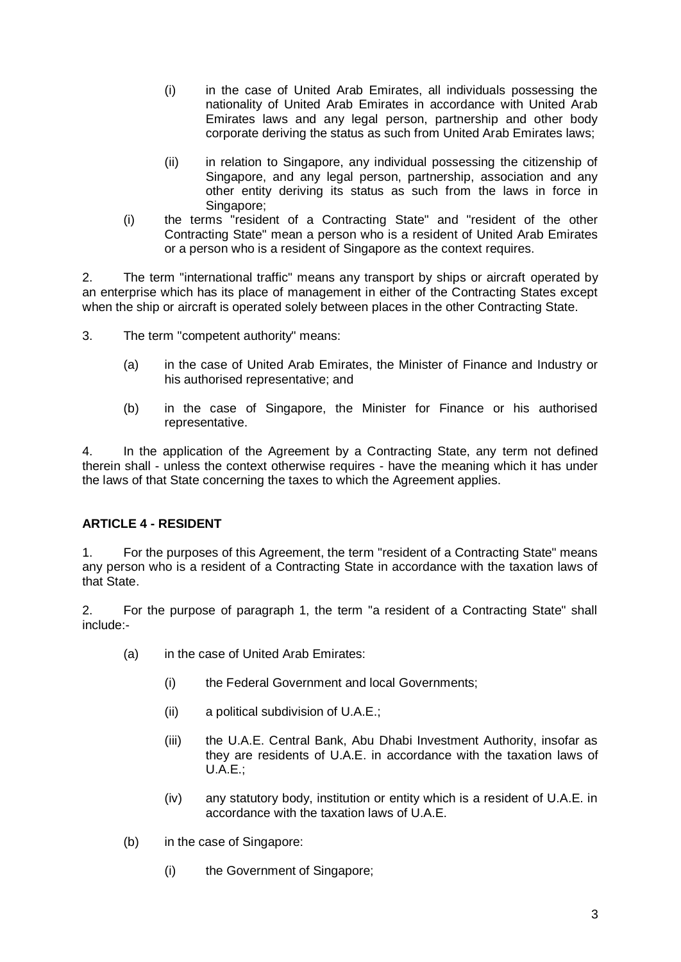- (i) in the case of United Arab Emirates, all individuals possessing the nationality of United Arab Emirates in accordance with United Arab Emirates laws and any legal person, partnership and other body corporate deriving the status as such from United Arab Emirates laws;
- (ii) in relation to Singapore, any individual possessing the citizenship of Singapore, and any legal person, partnership, association and any other entity deriving its status as such from the laws in force in Singapore;
- (i) the terms "resident of a Contracting State" and "resident of the other Contracting State" mean a person who is a resident of United Arab Emirates or a person who is a resident of Singapore as the context requires.

2. The term "international traffic" means any transport by ships or aircraft operated by an enterprise which has its place of management in either of the Contracting States except when the ship or aircraft is operated solely between places in the other Contracting State.

3. The term "competent authority" means:

- (a) in the case of United Arab Emirates, the Minister of Finance and Industry or his authorised representative; and
- (b) in the case of Singapore, the Minister for Finance or his authorised representative.

4. In the application of the Agreement by a Contracting State, any term not defined therein shall - unless the context otherwise requires - have the meaning which it has under the laws of that State concerning the taxes to which the Agreement applies.

## **ARTICLE 4 - RESIDENT**

1. For the purposes of this Agreement, the term "resident of a Contracting State" means any person who is a resident of a Contracting State in accordance with the taxation laws of that State.

2. For the purpose of paragraph 1, the term "a resident of a Contracting State" shall include:-

- (a) in the case of United Arab Emirates:
	- (i) the Federal Government and local Governments;
	- (ii) a political subdivision of U.A.E.;
	- (iii) the U.A.E. Central Bank, Abu Dhabi Investment Authority, insofar as they are residents of U.A.E. in accordance with the taxation laws of U.A.E.;
	- (iv) any statutory body, institution or entity which is a resident of U.A.E. in accordance with the taxation laws of U.A.E.
- (b) in the case of Singapore:
	- (i) the Government of Singapore;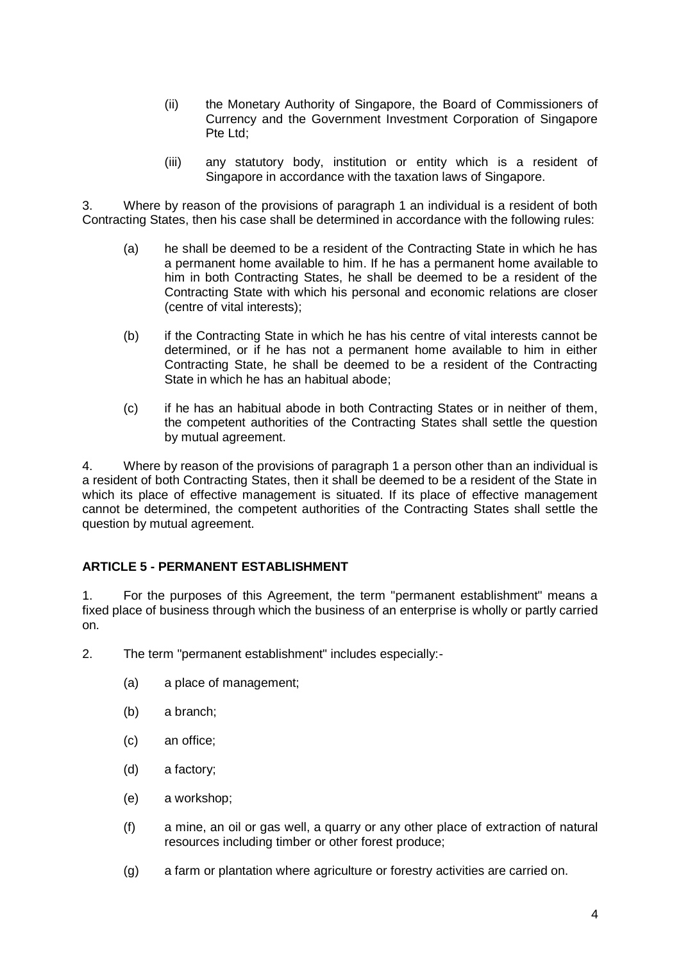- (ii) the Monetary Authority of Singapore, the Board of Commissioners of Currency and the Government Investment Corporation of Singapore Pte Ltd:
- (iii) any statutory body, institution or entity which is a resident of Singapore in accordance with the taxation laws of Singapore.

3. Where by reason of the provisions of paragraph 1 an individual is a resident of both Contracting States, then his case shall be determined in accordance with the following rules:

- (a) he shall be deemed to be a resident of the Contracting State in which he has a permanent home available to him. If he has a permanent home available to him in both Contracting States, he shall be deemed to be a resident of the Contracting State with which his personal and economic relations are closer (centre of vital interests);
- (b) if the Contracting State in which he has his centre of vital interests cannot be determined, or if he has not a permanent home available to him in either Contracting State, he shall be deemed to be a resident of the Contracting State in which he has an habitual abode;
- (c) if he has an habitual abode in both Contracting States or in neither of them, the competent authorities of the Contracting States shall settle the question by mutual agreement.

4. Where by reason of the provisions of paragraph 1 a person other than an individual is a resident of both Contracting States, then it shall be deemed to be a resident of the State in which its place of effective management is situated. If its place of effective management cannot be determined, the competent authorities of the Contracting States shall settle the question by mutual agreement.

#### **ARTICLE 5 - PERMANENT ESTABLISHMENT**

1. For the purposes of this Agreement, the term "permanent establishment" means a fixed place of business through which the business of an enterprise is wholly or partly carried on.

- 2. The term "permanent establishment" includes especially:-
	- (a) a place of management;
	- (b) a branch;
	- (c) an office;
	- (d) a factory;
	- (e) a workshop;
	- (f) a mine, an oil or gas well, a quarry or any other place of extraction of natural resources including timber or other forest produce;
	- (g) a farm or plantation where agriculture or forestry activities are carried on.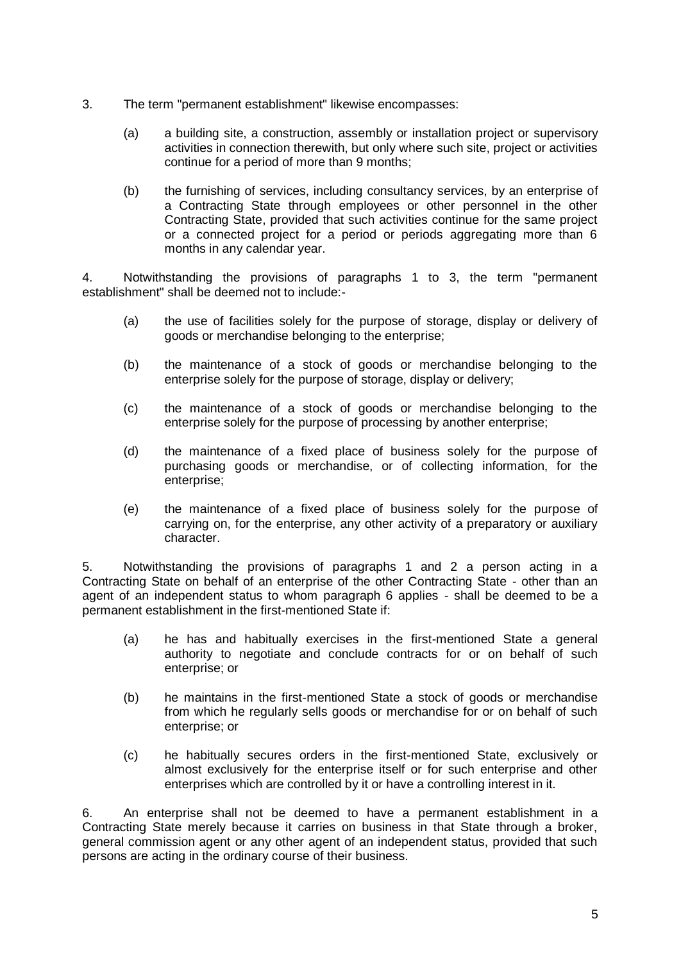- 3. The term "permanent establishment" likewise encompasses:
	- (a) a building site, a construction, assembly or installation project or supervisory activities in connection therewith, but only where such site, project or activities continue for a period of more than 9 months;
	- (b) the furnishing of services, including consultancy services, by an enterprise of a Contracting State through employees or other personnel in the other Contracting State, provided that such activities continue for the same project or a connected project for a period or periods aggregating more than 6 months in any calendar year.

4. Notwithstanding the provisions of paragraphs 1 to 3, the term "permanent establishment" shall be deemed not to include:-

- (a) the use of facilities solely for the purpose of storage, display or delivery of goods or merchandise belonging to the enterprise;
- (b) the maintenance of a stock of goods or merchandise belonging to the enterprise solely for the purpose of storage, display or delivery;
- (c) the maintenance of a stock of goods or merchandise belonging to the enterprise solely for the purpose of processing by another enterprise;
- (d) the maintenance of a fixed place of business solely for the purpose of purchasing goods or merchandise, or of collecting information, for the enterprise;
- (e) the maintenance of a fixed place of business solely for the purpose of carrying on, for the enterprise, any other activity of a preparatory or auxiliary character.

5. Notwithstanding the provisions of paragraphs 1 and 2 a person acting in a Contracting State on behalf of an enterprise of the other Contracting State - other than an agent of an independent status to whom paragraph 6 applies - shall be deemed to be a permanent establishment in the first-mentioned State if:

- (a) he has and habitually exercises in the first-mentioned State a general authority to negotiate and conclude contracts for or on behalf of such enterprise; or
- (b) he maintains in the first-mentioned State a stock of goods or merchandise from which he regularly sells goods or merchandise for or on behalf of such enterprise; or
- (c) he habitually secures orders in the first-mentioned State, exclusively or almost exclusively for the enterprise itself or for such enterprise and other enterprises which are controlled by it or have a controlling interest in it.

6. An enterprise shall not be deemed to have a permanent establishment in a Contracting State merely because it carries on business in that State through a broker, general commission agent or any other agent of an independent status, provided that such persons are acting in the ordinary course of their business.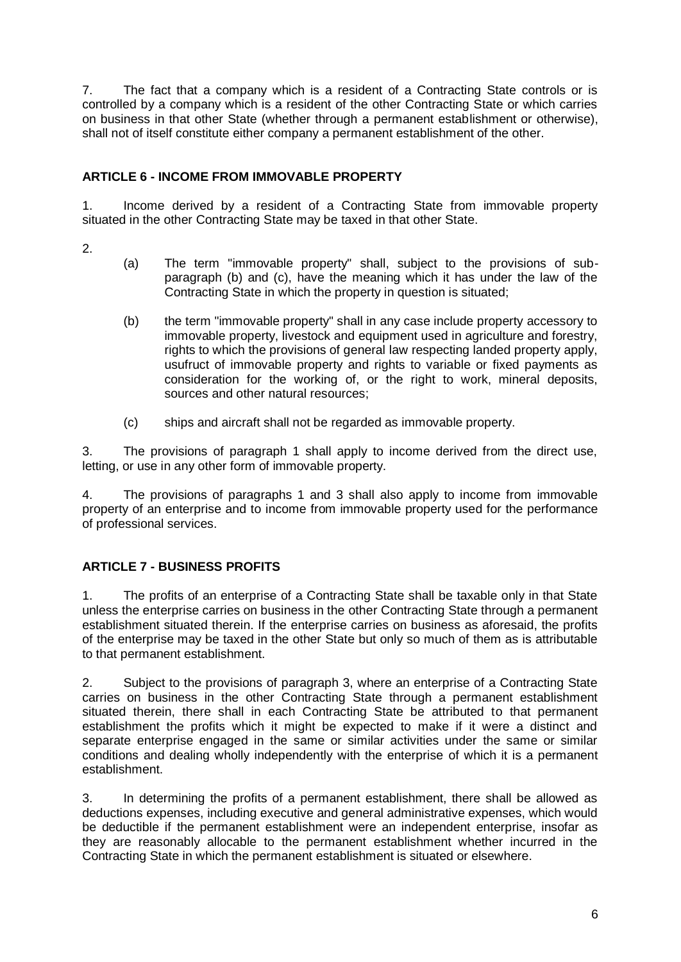7. The fact that a company which is a resident of a Contracting State controls or is controlled by a company which is a resident of the other Contracting State or which carries on business in that other State (whether through a permanent establishment or otherwise), shall not of itself constitute either company a permanent establishment of the other.

## **ARTICLE 6 - INCOME FROM IMMOVABLE PROPERTY**

1. Income derived by a resident of a Contracting State from immovable property situated in the other Contracting State may be taxed in that other State.

- 2.
- (a) The term "immovable property" shall, subject to the provisions of subparagraph (b) and (c), have the meaning which it has under the law of the Contracting State in which the property in question is situated;
- (b) the term "immovable property" shall in any case include property accessory to immovable property, livestock and equipment used in agriculture and forestry, rights to which the provisions of general law respecting landed property apply, usufruct of immovable property and rights to variable or fixed payments as consideration for the working of, or the right to work, mineral deposits, sources and other natural resources;
- (c) ships and aircraft shall not be regarded as immovable property.

3. The provisions of paragraph 1 shall apply to income derived from the direct use, letting, or use in any other form of immovable property.

4. The provisions of paragraphs 1 and 3 shall also apply to income from immovable property of an enterprise and to income from immovable property used for the performance of professional services.

# **ARTICLE 7 - BUSINESS PROFITS**

1. The profits of an enterprise of a Contracting State shall be taxable only in that State unless the enterprise carries on business in the other Contracting State through a permanent establishment situated therein. If the enterprise carries on business as aforesaid, the profits of the enterprise may be taxed in the other State but only so much of them as is attributable to that permanent establishment.

2. Subject to the provisions of paragraph 3, where an enterprise of a Contracting State carries on business in the other Contracting State through a permanent establishment situated therein, there shall in each Contracting State be attributed to that permanent establishment the profits which it might be expected to make if it were a distinct and separate enterprise engaged in the same or similar activities under the same or similar conditions and dealing wholly independently with the enterprise of which it is a permanent establishment.

3. In determining the profits of a permanent establishment, there shall be allowed as deductions expenses, including executive and general administrative expenses, which would be deductible if the permanent establishment were an independent enterprise, insofar as they are reasonably allocable to the permanent establishment whether incurred in the Contracting State in which the permanent establishment is situated or elsewhere.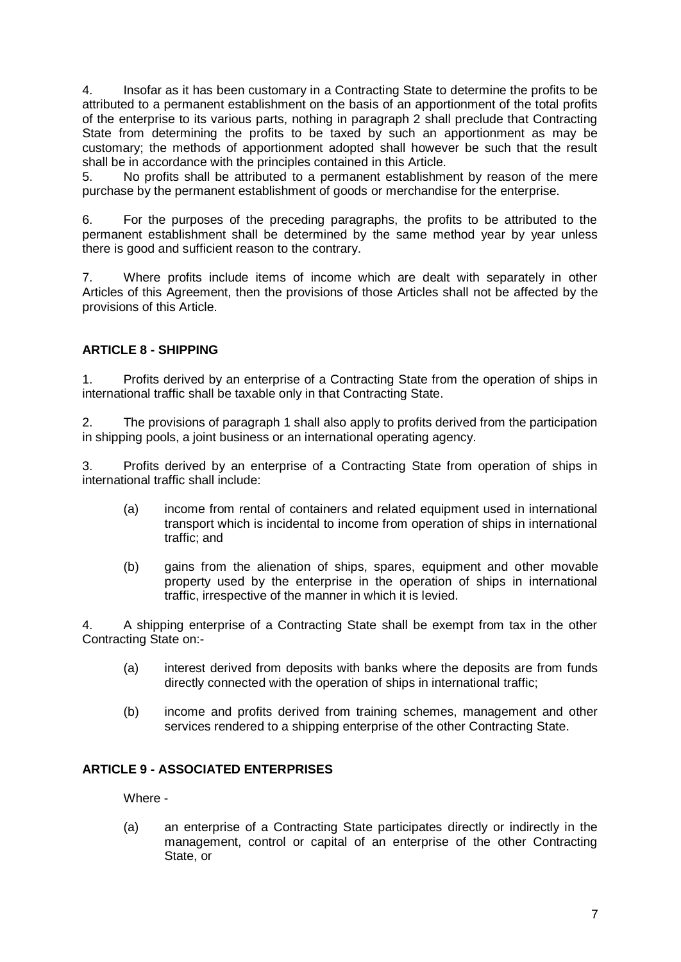4. Insofar as it has been customary in a Contracting State to determine the profits to be attributed to a permanent establishment on the basis of an apportionment of the total profits of the enterprise to its various parts, nothing in paragraph 2 shall preclude that Contracting State from determining the profits to be taxed by such an apportionment as may be customary; the methods of apportionment adopted shall however be such that the result shall be in accordance with the principles contained in this Article.

5. No profits shall be attributed to a permanent establishment by reason of the mere purchase by the permanent establishment of goods or merchandise for the enterprise.

6. For the purposes of the preceding paragraphs, the profits to be attributed to the permanent establishment shall be determined by the same method year by year unless there is good and sufficient reason to the contrary.

7. Where profits include items of income which are dealt with separately in other Articles of this Agreement, then the provisions of those Articles shall not be affected by the provisions of this Article.

### **ARTICLE 8 - SHIPPING**

1. Profits derived by an enterprise of a Contracting State from the operation of ships in international traffic shall be taxable only in that Contracting State.

2. The provisions of paragraph 1 shall also apply to profits derived from the participation in shipping pools, a joint business or an international operating agency.

3. Profits derived by an enterprise of a Contracting State from operation of ships in international traffic shall include:

- (a) income from rental of containers and related equipment used in international transport which is incidental to income from operation of ships in international traffic; and
- (b) gains from the alienation of ships, spares, equipment and other movable property used by the enterprise in the operation of ships in international traffic, irrespective of the manner in which it is levied.

4. A shipping enterprise of a Contracting State shall be exempt from tax in the other Contracting State on:-

- (a) interest derived from deposits with banks where the deposits are from funds directly connected with the operation of ships in international traffic;
- (b) income and profits derived from training schemes, management and other services rendered to a shipping enterprise of the other Contracting State.

#### **ARTICLE 9 - ASSOCIATED ENTERPRISES**

Where -

(a) an enterprise of a Contracting State participates directly or indirectly in the management, control or capital of an enterprise of the other Contracting State, or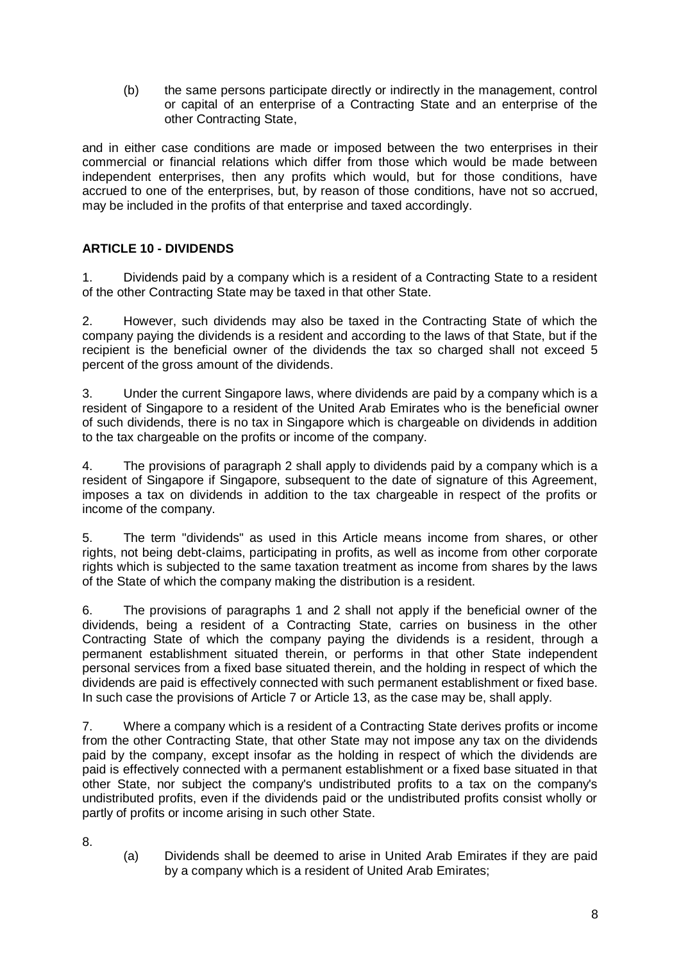(b) the same persons participate directly or indirectly in the management, control or capital of an enterprise of a Contracting State and an enterprise of the other Contracting State,

and in either case conditions are made or imposed between the two enterprises in their commercial or financial relations which differ from those which would be made between independent enterprises, then any profits which would, but for those conditions, have accrued to one of the enterprises, but, by reason of those conditions, have not so accrued, may be included in the profits of that enterprise and taxed accordingly.

# **ARTICLE 10 - DIVIDENDS**

1. Dividends paid by a company which is a resident of a Contracting State to a resident of the other Contracting State may be taxed in that other State.

2. However, such dividends may also be taxed in the Contracting State of which the company paying the dividends is a resident and according to the laws of that State, but if the recipient is the beneficial owner of the dividends the tax so charged shall not exceed 5 percent of the gross amount of the dividends.

3. Under the current Singapore laws, where dividends are paid by a company which is a resident of Singapore to a resident of the United Arab Emirates who is the beneficial owner of such dividends, there is no tax in Singapore which is chargeable on dividends in addition to the tax chargeable on the profits or income of the company.

4. The provisions of paragraph 2 shall apply to dividends paid by a company which is a resident of Singapore if Singapore, subsequent to the date of signature of this Agreement, imposes a tax on dividends in addition to the tax chargeable in respect of the profits or income of the company.

5. The term "dividends" as used in this Article means income from shares, or other rights, not being debt-claims, participating in profits, as well as income from other corporate rights which is subjected to the same taxation treatment as income from shares by the laws of the State of which the company making the distribution is a resident.

6. The provisions of paragraphs 1 and 2 shall not apply if the beneficial owner of the dividends, being a resident of a Contracting State, carries on business in the other Contracting State of which the company paying the dividends is a resident, through a permanent establishment situated therein, or performs in that other State independent personal services from a fixed base situated therein, and the holding in respect of which the dividends are paid is effectively connected with such permanent establishment or fixed base. In such case the provisions of Article 7 or Article 13, as the case may be, shall apply.

7. Where a company which is a resident of a Contracting State derives profits or income from the other Contracting State, that other State may not impose any tax on the dividends paid by the company, except insofar as the holding in respect of which the dividends are paid is effectively connected with a permanent establishment or a fixed base situated in that other State, nor subject the company's undistributed profits to a tax on the company's undistributed profits, even if the dividends paid or the undistributed profits consist wholly or partly of profits or income arising in such other State.

8.

(a) Dividends shall be deemed to arise in United Arab Emirates if they are paid by a company which is a resident of United Arab Emirates;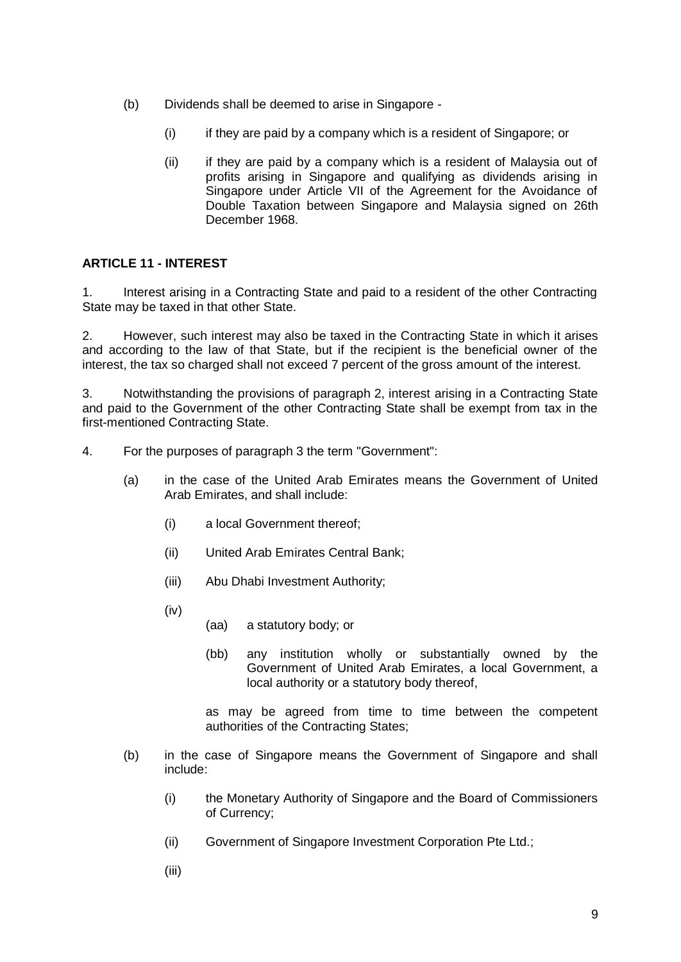- (b) Dividends shall be deemed to arise in Singapore
	- (i) if they are paid by a company which is a resident of Singapore; or
	- (ii) if they are paid by a company which is a resident of Malaysia out of profits arising in Singapore and qualifying as dividends arising in Singapore under Article VII of the Agreement for the Avoidance of Double Taxation between Singapore and Malaysia signed on 26th December 1968.

### **ARTICLE 11 - INTEREST**

1. Interest arising in a Contracting State and paid to a resident of the other Contracting State may be taxed in that other State.

2. However, such interest may also be taxed in the Contracting State in which it arises and according to the law of that State, but if the recipient is the beneficial owner of the interest, the tax so charged shall not exceed 7 percent of the gross amount of the interest.

3. Notwithstanding the provisions of paragraph 2, interest arising in a Contracting State and paid to the Government of the other Contracting State shall be exempt from tax in the first-mentioned Contracting State.

- 4. For the purposes of paragraph 3 the term "Government":
	- (a) in the case of the United Arab Emirates means the Government of United Arab Emirates, and shall include:
		- (i) a local Government thereof;
		- (ii) United Arab Emirates Central Bank;
		- (iii) Abu Dhabi Investment Authority;
		- (iv)
- (aa) a statutory body; or
- (bb) any institution wholly or substantially owned by the Government of United Arab Emirates, a local Government, a local authority or a statutory body thereof,

as may be agreed from time to time between the competent authorities of the Contracting States;

- (b) in the case of Singapore means the Government of Singapore and shall include:
	- (i) the Monetary Authority of Singapore and the Board of Commissioners of Currency;
	- (ii) Government of Singapore Investment Corporation Pte Ltd.;
	- (iii)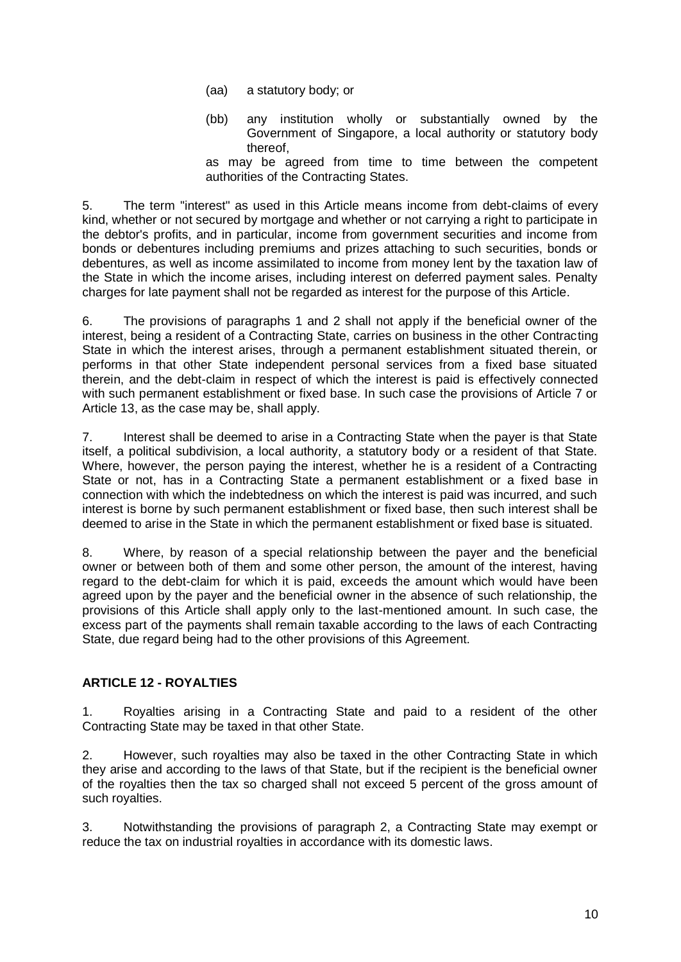- (aa) a statutory body; or
- (bb) any institution wholly or substantially owned by the Government of Singapore, a local authority or statutory body thereof,

as may be agreed from time to time between the competent authorities of the Contracting States.

5. The term "interest" as used in this Article means income from debt-claims of every kind, whether or not secured by mortgage and whether or not carrying a right to participate in the debtor's profits, and in particular, income from government securities and income from bonds or debentures including premiums and prizes attaching to such securities, bonds or debentures, as well as income assimilated to income from money lent by the taxation law of the State in which the income arises, including interest on deferred payment sales. Penalty charges for late payment shall not be regarded as interest for the purpose of this Article.

6. The provisions of paragraphs 1 and 2 shall not apply if the beneficial owner of the interest, being a resident of a Contracting State, carries on business in the other Contracting State in which the interest arises, through a permanent establishment situated therein, or performs in that other State independent personal services from a fixed base situated therein, and the debt-claim in respect of which the interest is paid is effectively connected with such permanent establishment or fixed base. In such case the provisions of Article 7 or Article 13, as the case may be, shall apply.

7. Interest shall be deemed to arise in a Contracting State when the payer is that State itself, a political subdivision, a local authority, a statutory body or a resident of that State. Where, however, the person paying the interest, whether he is a resident of a Contracting State or not, has in a Contracting State a permanent establishment or a fixed base in connection with which the indebtedness on which the interest is paid was incurred, and such interest is borne by such permanent establishment or fixed base, then such interest shall be deemed to arise in the State in which the permanent establishment or fixed base is situated.

8. Where, by reason of a special relationship between the payer and the beneficial owner or between both of them and some other person, the amount of the interest, having regard to the debt-claim for which it is paid, exceeds the amount which would have been agreed upon by the payer and the beneficial owner in the absence of such relationship, the provisions of this Article shall apply only to the last-mentioned amount. In such case, the excess part of the payments shall remain taxable according to the laws of each Contracting State, due regard being had to the other provisions of this Agreement.

## **ARTICLE 12 - ROYALTIES**

1. Royalties arising in a Contracting State and paid to a resident of the other Contracting State may be taxed in that other State.

2. However, such royalties may also be taxed in the other Contracting State in which they arise and according to the laws of that State, but if the recipient is the beneficial owner of the royalties then the tax so charged shall not exceed 5 percent of the gross amount of such royalties.

3. Notwithstanding the provisions of paragraph 2, a Contracting State may exempt or reduce the tax on industrial royalties in accordance with its domestic laws.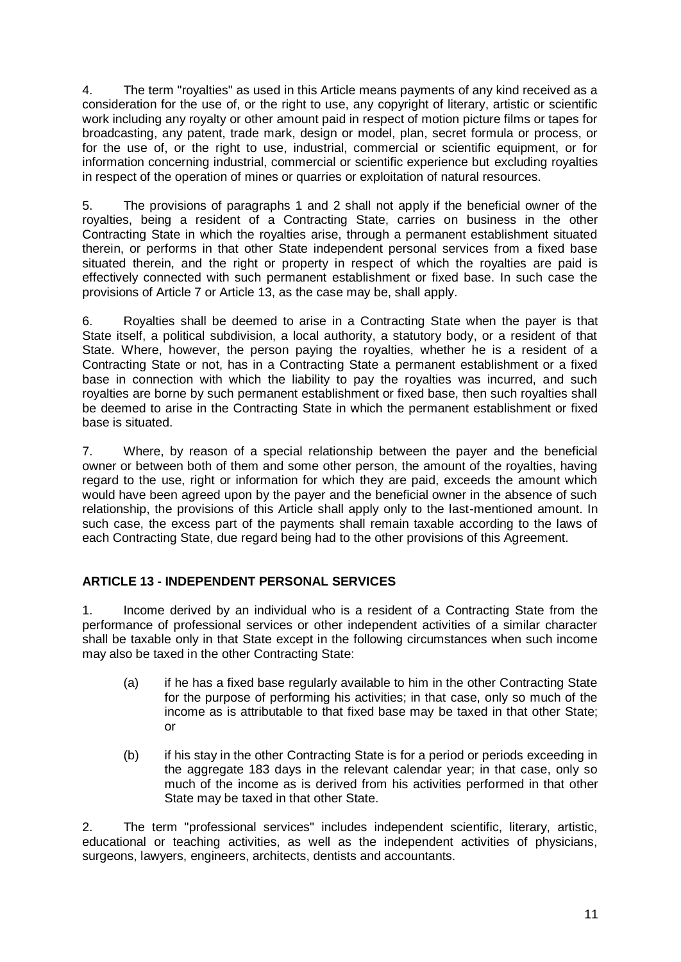4. The term "royalties" as used in this Article means payments of any kind received as a consideration for the use of, or the right to use, any copyright of literary, artistic or scientific work including any royalty or other amount paid in respect of motion picture films or tapes for broadcasting, any patent, trade mark, design or model, plan, secret formula or process, or for the use of, or the right to use, industrial, commercial or scientific equipment, or for information concerning industrial, commercial or scientific experience but excluding royalties in respect of the operation of mines or quarries or exploitation of natural resources.

5. The provisions of paragraphs 1 and 2 shall not apply if the beneficial owner of the royalties, being a resident of a Contracting State, carries on business in the other Contracting State in which the royalties arise, through a permanent establishment situated therein, or performs in that other State independent personal services from a fixed base situated therein, and the right or property in respect of which the royalties are paid is effectively connected with such permanent establishment or fixed base. In such case the provisions of Article 7 or Article 13, as the case may be, shall apply.

6. Royalties shall be deemed to arise in a Contracting State when the payer is that State itself, a political subdivision, a local authority, a statutory body, or a resident of that State. Where, however, the person paying the royalties, whether he is a resident of a Contracting State or not, has in a Contracting State a permanent establishment or a fixed base in connection with which the liability to pay the royalties was incurred, and such royalties are borne by such permanent establishment or fixed base, then such royalties shall be deemed to arise in the Contracting State in which the permanent establishment or fixed base is situated.

7. Where, by reason of a special relationship between the payer and the beneficial owner or between both of them and some other person, the amount of the royalties, having regard to the use, right or information for which they are paid, exceeds the amount which would have been agreed upon by the payer and the beneficial owner in the absence of such relationship, the provisions of this Article shall apply only to the last-mentioned amount. In such case, the excess part of the payments shall remain taxable according to the laws of each Contracting State, due regard being had to the other provisions of this Agreement.

# **ARTICLE 13 - INDEPENDENT PERSONAL SERVICES**

1. Income derived by an individual who is a resident of a Contracting State from the performance of professional services or other independent activities of a similar character shall be taxable only in that State except in the following circumstances when such income may also be taxed in the other Contracting State:

- (a) if he has a fixed base regularly available to him in the other Contracting State for the purpose of performing his activities; in that case, only so much of the income as is attributable to that fixed base may be taxed in that other State; or
- (b) if his stay in the other Contracting State is for a period or periods exceeding in the aggregate 183 days in the relevant calendar year; in that case, only so much of the income as is derived from his activities performed in that other State may be taxed in that other State.

2. The term "professional services" includes independent scientific, literary, artistic, educational or teaching activities, as well as the independent activities of physicians, surgeons, lawyers, engineers, architects, dentists and accountants.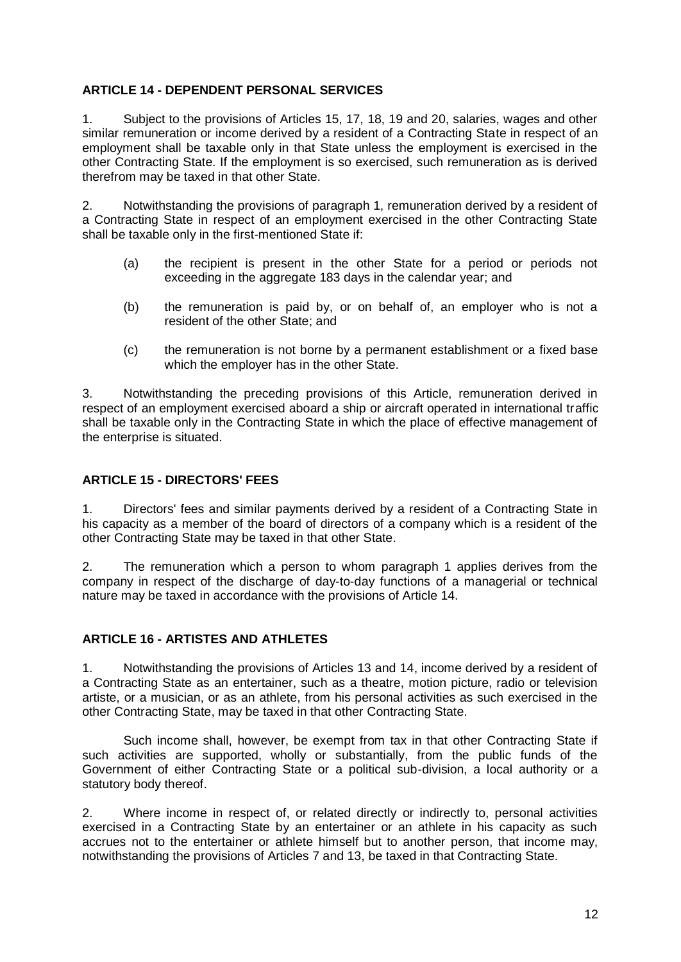#### **ARTICLE 14 - DEPENDENT PERSONAL SERVICES**

1. Subject to the provisions of Articles 15, 17, 18, 19 and 20, salaries, wages and other similar remuneration or income derived by a resident of a Contracting State in respect of an employment shall be taxable only in that State unless the employment is exercised in the other Contracting State. If the employment is so exercised, such remuneration as is derived therefrom may be taxed in that other State.

2. Notwithstanding the provisions of paragraph 1, remuneration derived by a resident of a Contracting State in respect of an employment exercised in the other Contracting State shall be taxable only in the first-mentioned State if:

- (a) the recipient is present in the other State for a period or periods not exceeding in the aggregate 183 days in the calendar year; and
- (b) the remuneration is paid by, or on behalf of, an employer who is not a resident of the other State; and
- (c) the remuneration is not borne by a permanent establishment or a fixed base which the employer has in the other State.

3. Notwithstanding the preceding provisions of this Article, remuneration derived in respect of an employment exercised aboard a ship or aircraft operated in international traffic shall be taxable only in the Contracting State in which the place of effective management of the enterprise is situated.

## **ARTICLE 15 - DIRECTORS' FEES**

1. Directors' fees and similar payments derived by a resident of a Contracting State in his capacity as a member of the board of directors of a company which is a resident of the other Contracting State may be taxed in that other State.

2. The remuneration which a person to whom paragraph 1 applies derives from the company in respect of the discharge of day-to-day functions of a managerial or technical nature may be taxed in accordance with the provisions of Article 14.

#### **ARTICLE 16 - ARTISTES AND ATHLETES**

1. Notwithstanding the provisions of Articles 13 and 14, income derived by a resident of a Contracting State as an entertainer, such as a theatre, motion picture, radio or television artiste, or a musician, or as an athlete, from his personal activities as such exercised in the other Contracting State, may be taxed in that other Contracting State.

Such income shall, however, be exempt from tax in that other Contracting State if such activities are supported, wholly or substantially, from the public funds of the Government of either Contracting State or a political sub-division, a local authority or a statutory body thereof.

2. Where income in respect of, or related directly or indirectly to, personal activities exercised in a Contracting State by an entertainer or an athlete in his capacity as such accrues not to the entertainer or athlete himself but to another person, that income may, notwithstanding the provisions of Articles 7 and 13, be taxed in that Contracting State.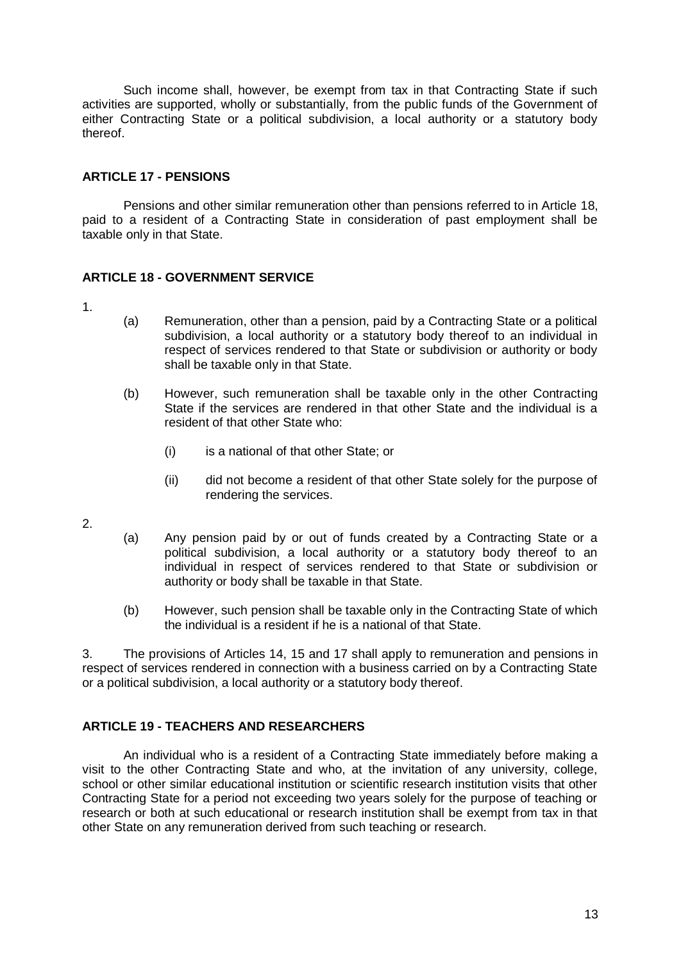Such income shall, however, be exempt from tax in that Contracting State if such activities are supported, wholly or substantially, from the public funds of the Government of either Contracting State or a political subdivision, a local authority or a statutory body thereof.

#### **ARTICLE 17 - PENSIONS**

Pensions and other similar remuneration other than pensions referred to in Article 18, paid to a resident of a Contracting State in consideration of past employment shall be taxable only in that State.

### **ARTICLE 18 - GOVERNMENT SERVICE**

1.

- (a) Remuneration, other than a pension, paid by a Contracting State or a political subdivision, a local authority or a statutory body thereof to an individual in respect of services rendered to that State or subdivision or authority or body shall be taxable only in that State.
- (b) However, such remuneration shall be taxable only in the other Contracting State if the services are rendered in that other State and the individual is a resident of that other State who:
	- (i) is a national of that other State; or
	- (ii) did not become a resident of that other State solely for the purpose of rendering the services.
- 2.
- (a) Any pension paid by or out of funds created by a Contracting State or a political subdivision, a local authority or a statutory body thereof to an individual in respect of services rendered to that State or subdivision or authority or body shall be taxable in that State.
- (b) However, such pension shall be taxable only in the Contracting State of which the individual is a resident if he is a national of that State.

3. The provisions of Articles 14, 15 and 17 shall apply to remuneration and pensions in respect of services rendered in connection with a business carried on by a Contracting State or a political subdivision, a local authority or a statutory body thereof.

#### **ARTICLE 19 - TEACHERS AND RESEARCHERS**

An individual who is a resident of a Contracting State immediately before making a visit to the other Contracting State and who, at the invitation of any university, college, school or other similar educational institution or scientific research institution visits that other Contracting State for a period not exceeding two years solely for the purpose of teaching or research or both at such educational or research institution shall be exempt from tax in that other State on any remuneration derived from such teaching or research.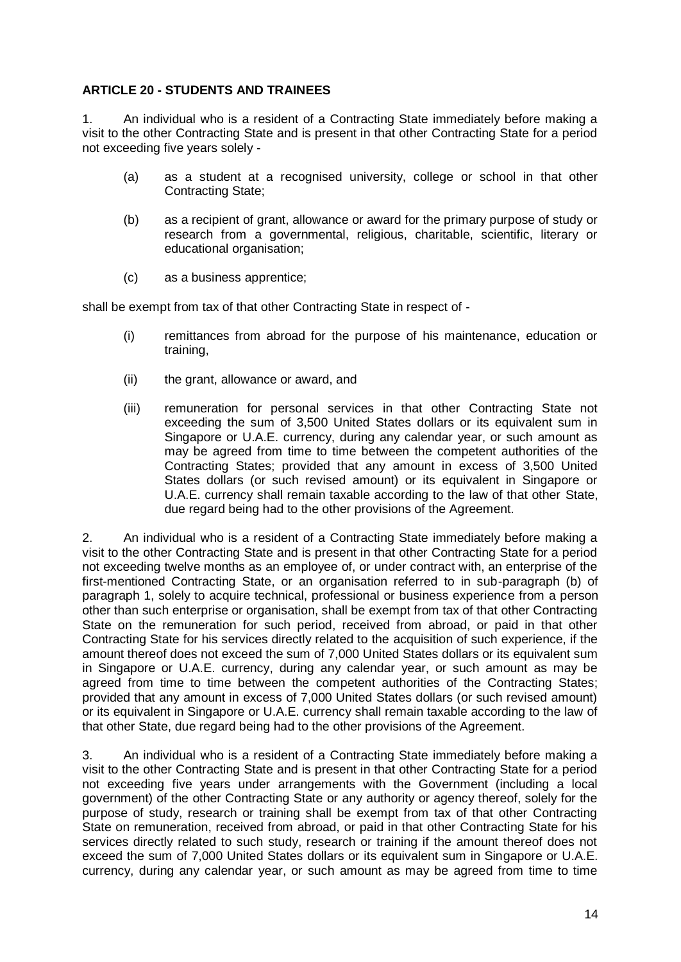### **ARTICLE 20 - STUDENTS AND TRAINEES**

1. An individual who is a resident of a Contracting State immediately before making a visit to the other Contracting State and is present in that other Contracting State for a period not exceeding five years solely -

- (a) as a student at a recognised university, college or school in that other Contracting State;
- (b) as a recipient of grant, allowance or award for the primary purpose of study or research from a governmental, religious, charitable, scientific, literary or educational organisation;
- (c) as a business apprentice;

shall be exempt from tax of that other Contracting State in respect of -

- (i) remittances from abroad for the purpose of his maintenance, education or training,
- (ii) the grant, allowance or award, and
- (iii) remuneration for personal services in that other Contracting State not exceeding the sum of 3,500 United States dollars or its equivalent sum in Singapore or U.A.E. currency, during any calendar year, or such amount as may be agreed from time to time between the competent authorities of the Contracting States; provided that any amount in excess of 3,500 United States dollars (or such revised amount) or its equivalent in Singapore or U.A.E. currency shall remain taxable according to the law of that other State, due regard being had to the other provisions of the Agreement.

2. An individual who is a resident of a Contracting State immediately before making a visit to the other Contracting State and is present in that other Contracting State for a period not exceeding twelve months as an employee of, or under contract with, an enterprise of the first-mentioned Contracting State, or an organisation referred to in sub-paragraph (b) of paragraph 1, solely to acquire technical, professional or business experience from a person other than such enterprise or organisation, shall be exempt from tax of that other Contracting State on the remuneration for such period, received from abroad, or paid in that other Contracting State for his services directly related to the acquisition of such experience, if the amount thereof does not exceed the sum of 7,000 United States dollars or its equivalent sum in Singapore or U.A.E. currency, during any calendar year, or such amount as may be agreed from time to time between the competent authorities of the Contracting States; provided that any amount in excess of 7,000 United States dollars (or such revised amount) or its equivalent in Singapore or U.A.E. currency shall remain taxable according to the law of that other State, due regard being had to the other provisions of the Agreement.

3. An individual who is a resident of a Contracting State immediately before making a visit to the other Contracting State and is present in that other Contracting State for a period not exceeding five years under arrangements with the Government (including a local government) of the other Contracting State or any authority or agency thereof, solely for the purpose of study, research or training shall be exempt from tax of that other Contracting State on remuneration, received from abroad, or paid in that other Contracting State for his services directly related to such study, research or training if the amount thereof does not exceed the sum of 7,000 United States dollars or its equivalent sum in Singapore or U.A.E. currency, during any calendar year, or such amount as may be agreed from time to time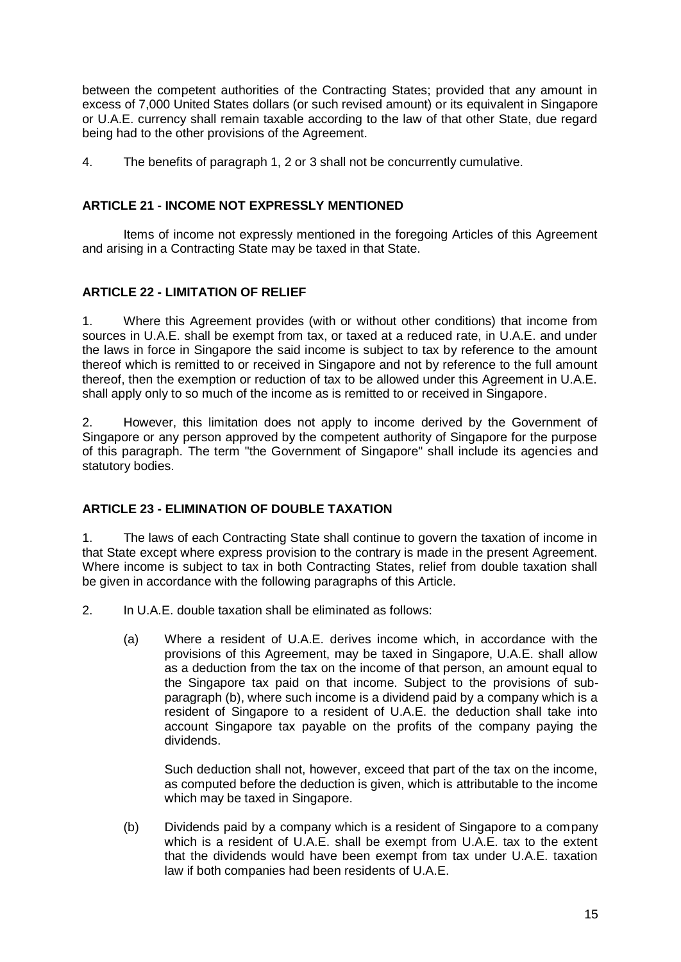between the competent authorities of the Contracting States; provided that any amount in excess of 7,000 United States dollars (or such revised amount) or its equivalent in Singapore or U.A.E. currency shall remain taxable according to the law of that other State, due regard being had to the other provisions of the Agreement.

4. The benefits of paragraph 1, 2 or 3 shall not be concurrently cumulative.

## **ARTICLE 21 - INCOME NOT EXPRESSLY MENTIONED**

Items of income not expressly mentioned in the foregoing Articles of this Agreement and arising in a Contracting State may be taxed in that State.

## **ARTICLE 22 - LIMITATION OF RELIEF**

1. Where this Agreement provides (with or without other conditions) that income from sources in U.A.E. shall be exempt from tax, or taxed at a reduced rate, in U.A.E. and under the laws in force in Singapore the said income is subject to tax by reference to the amount thereof which is remitted to or received in Singapore and not by reference to the full amount thereof, then the exemption or reduction of tax to be allowed under this Agreement in U.A.E. shall apply only to so much of the income as is remitted to or received in Singapore.

2. However, this limitation does not apply to income derived by the Government of Singapore or any person approved by the competent authority of Singapore for the purpose of this paragraph. The term "the Government of Singapore" shall include its agencies and statutory bodies.

## **ARTICLE 23 - ELIMINATION OF DOUBLE TAXATION**

1. The laws of each Contracting State shall continue to govern the taxation of income in that State except where express provision to the contrary is made in the present Agreement. Where income is subject to tax in both Contracting States, relief from double taxation shall be given in accordance with the following paragraphs of this Article.

- 2. In U.A.E. double taxation shall be eliminated as follows:
	- (a) Where a resident of U.A.E. derives income which, in accordance with the provisions of this Agreement, may be taxed in Singapore, U.A.E. shall allow as a deduction from the tax on the income of that person, an amount equal to the Singapore tax paid on that income. Subject to the provisions of subparagraph (b), where such income is a dividend paid by a company which is a resident of Singapore to a resident of U.A.E. the deduction shall take into account Singapore tax payable on the profits of the company paying the dividends.

Such deduction shall not, however, exceed that part of the tax on the income, as computed before the deduction is given, which is attributable to the income which may be taxed in Singapore.

(b) Dividends paid by a company which is a resident of Singapore to a company which is a resident of U.A.E. shall be exempt from U.A.E. tax to the extent that the dividends would have been exempt from tax under U.A.E. taxation law if both companies had been residents of U.A.E.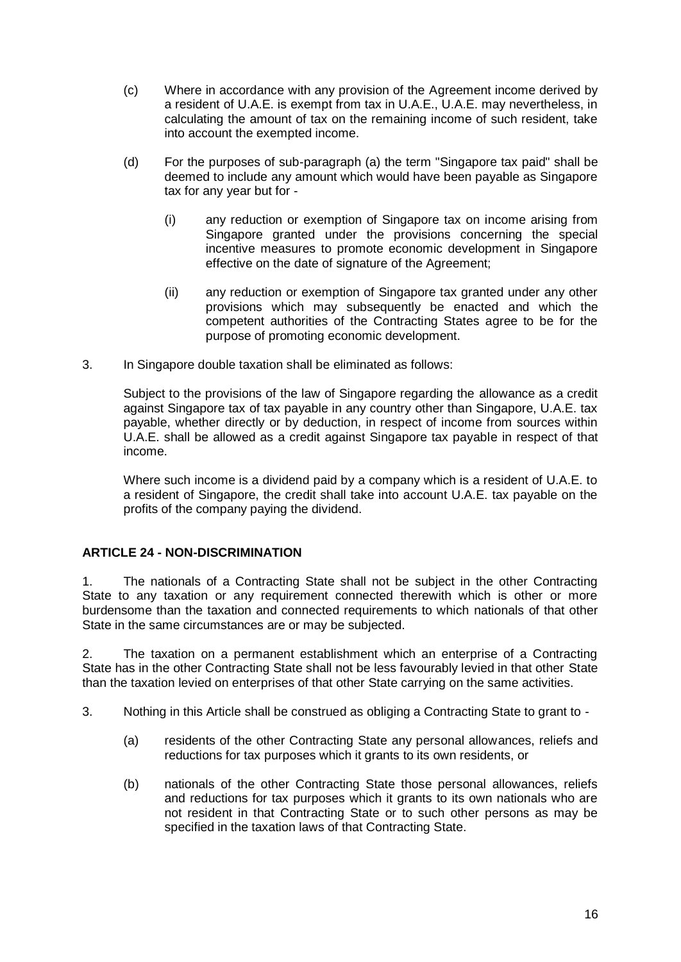- (c) Where in accordance with any provision of the Agreement income derived by a resident of U.A.E. is exempt from tax in U.A.E., U.A.E. may nevertheless, in calculating the amount of tax on the remaining income of such resident, take into account the exempted income.
- (d) For the purposes of sub-paragraph (a) the term "Singapore tax paid" shall be deemed to include any amount which would have been payable as Singapore tax for any year but for -
	- (i) any reduction or exemption of Singapore tax on income arising from Singapore granted under the provisions concerning the special incentive measures to promote economic development in Singapore effective on the date of signature of the Agreement;
	- (ii) any reduction or exemption of Singapore tax granted under any other provisions which may subsequently be enacted and which the competent authorities of the Contracting States agree to be for the purpose of promoting economic development.
- 3. In Singapore double taxation shall be eliminated as follows:

Subject to the provisions of the law of Singapore regarding the allowance as a credit against Singapore tax of tax payable in any country other than Singapore, U.A.E. tax payable, whether directly or by deduction, in respect of income from sources within U.A.E. shall be allowed as a credit against Singapore tax payable in respect of that income.

Where such income is a dividend paid by a company which is a resident of U.A.E. to a resident of Singapore, the credit shall take into account U.A.E. tax payable on the profits of the company paying the dividend.

## **ARTICLE 24 - NON-DISCRIMINATION**

1. The nationals of a Contracting State shall not be subject in the other Contracting State to any taxation or any requirement connected therewith which is other or more burdensome than the taxation and connected requirements to which nationals of that other State in the same circumstances are or may be subjected.

2. The taxation on a permanent establishment which an enterprise of a Contracting State has in the other Contracting State shall not be less favourably levied in that other State than the taxation levied on enterprises of that other State carrying on the same activities.

- 3. Nothing in this Article shall be construed as obliging a Contracting State to grant to
	- (a) residents of the other Contracting State any personal allowances, reliefs and reductions for tax purposes which it grants to its own residents, or
	- (b) nationals of the other Contracting State those personal allowances, reliefs and reductions for tax purposes which it grants to its own nationals who are not resident in that Contracting State or to such other persons as may be specified in the taxation laws of that Contracting State.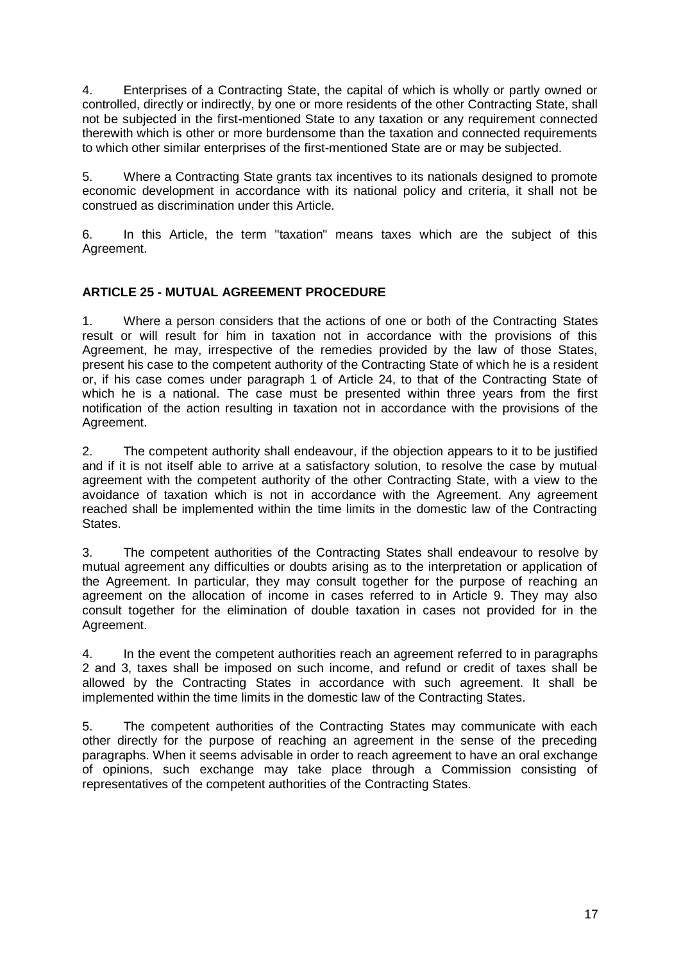4. Enterprises of a Contracting State, the capital of which is wholly or partly owned or controlled, directly or indirectly, by one or more residents of the other Contracting State, shall not be subjected in the first-mentioned State to any taxation or any requirement connected therewith which is other or more burdensome than the taxation and connected requirements to which other similar enterprises of the first-mentioned State are or may be subjected.

5. Where a Contracting State grants tax incentives to its nationals designed to promote economic development in accordance with its national policy and criteria, it shall not be construed as discrimination under this Article.

6. In this Article, the term "taxation" means taxes which are the subject of this Agreement.

## **ARTICLE 25 - MUTUAL AGREEMENT PROCEDURE**

1. Where a person considers that the actions of one or both of the Contracting States result or will result for him in taxation not in accordance with the provisions of this Agreement, he may, irrespective of the remedies provided by the law of those States, present his case to the competent authority of the Contracting State of which he is a resident or, if his case comes under paragraph 1 of Article 24, to that of the Contracting State of which he is a national. The case must be presented within three years from the first notification of the action resulting in taxation not in accordance with the provisions of the Agreement.

2. The competent authority shall endeavour, if the objection appears to it to be justified and if it is not itself able to arrive at a satisfactory solution, to resolve the case by mutual agreement with the competent authority of the other Contracting State, with a view to the avoidance of taxation which is not in accordance with the Agreement. Any agreement reached shall be implemented within the time limits in the domestic law of the Contracting States.

3. The competent authorities of the Contracting States shall endeavour to resolve by mutual agreement any difficulties or doubts arising as to the interpretation or application of the Agreement. In particular, they may consult together for the purpose of reaching an agreement on the allocation of income in cases referred to in Article 9. They may also consult together for the elimination of double taxation in cases not provided for in the Agreement.

4. In the event the competent authorities reach an agreement referred to in paragraphs 2 and 3, taxes shall be imposed on such income, and refund or credit of taxes shall be allowed by the Contracting States in accordance with such agreement. It shall be implemented within the time limits in the domestic law of the Contracting States.

5. The competent authorities of the Contracting States may communicate with each other directly for the purpose of reaching an agreement in the sense of the preceding paragraphs. When it seems advisable in order to reach agreement to have an oral exchange of opinions, such exchange may take place through a Commission consisting of representatives of the competent authorities of the Contracting States.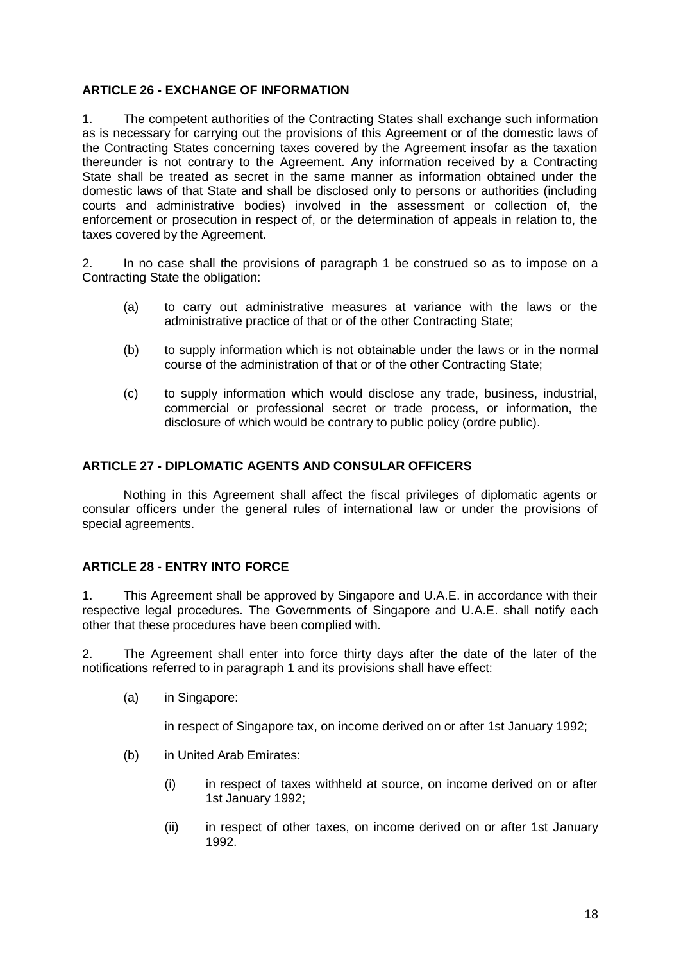#### **ARTICLE 26 - EXCHANGE OF INFORMATION**

1. The competent authorities of the Contracting States shall exchange such information as is necessary for carrying out the provisions of this Agreement or of the domestic laws of the Contracting States concerning taxes covered by the Agreement insofar as the taxation thereunder is not contrary to the Agreement. Any information received by a Contracting State shall be treated as secret in the same manner as information obtained under the domestic laws of that State and shall be disclosed only to persons or authorities (including courts and administrative bodies) involved in the assessment or collection of, the enforcement or prosecution in respect of, or the determination of appeals in relation to, the taxes covered by the Agreement.

2. In no case shall the provisions of paragraph 1 be construed so as to impose on a Contracting State the obligation:

- (a) to carry out administrative measures at variance with the laws or the administrative practice of that or of the other Contracting State;
- (b) to supply information which is not obtainable under the laws or in the normal course of the administration of that or of the other Contracting State;
- (c) to supply information which would disclose any trade, business, industrial, commercial or professional secret or trade process, or information, the disclosure of which would be contrary to public policy (ordre public).

#### **ARTICLE 27 - DIPLOMATIC AGENTS AND CONSULAR OFFICERS**

Nothing in this Agreement shall affect the fiscal privileges of diplomatic agents or consular officers under the general rules of international law or under the provisions of special agreements.

#### **ARTICLE 28 - ENTRY INTO FORCE**

1. This Agreement shall be approved by Singapore and U.A.E. in accordance with their respective legal procedures. The Governments of Singapore and U.A.E. shall notify each other that these procedures have been complied with.

2. The Agreement shall enter into force thirty days after the date of the later of the notifications referred to in paragraph 1 and its provisions shall have effect:

(a) in Singapore:

in respect of Singapore tax, on income derived on or after 1st January 1992;

- (b) in United Arab Emirates:
	- (i) in respect of taxes withheld at source, on income derived on or after 1st January 1992;
	- (ii) in respect of other taxes, on income derived on or after 1st January 1992.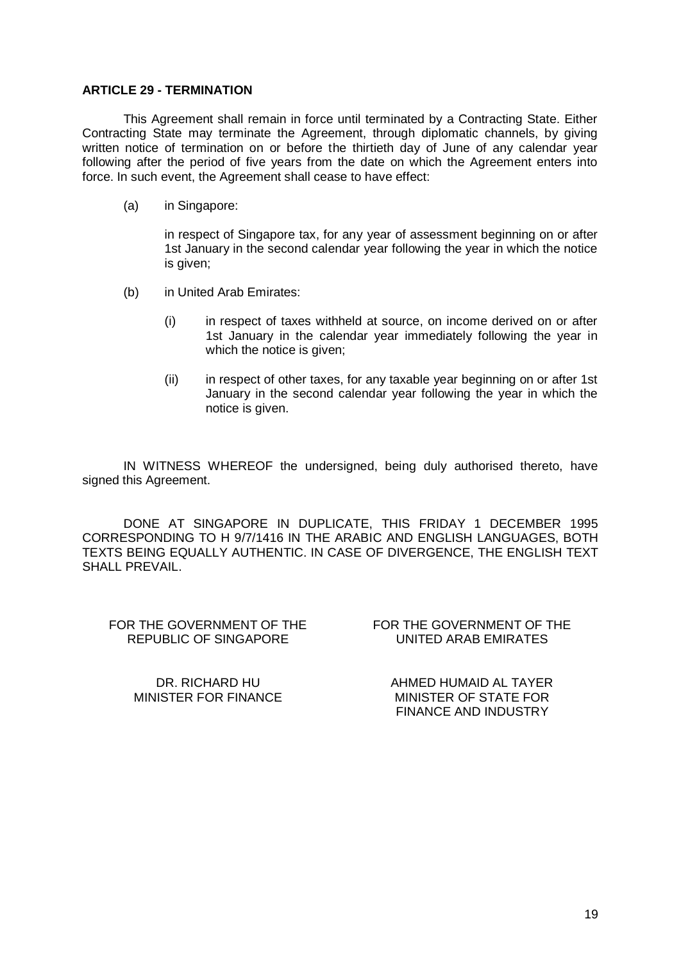#### **ARTICLE 29 - TERMINATION**

This Agreement shall remain in force until terminated by a Contracting State. Either Contracting State may terminate the Agreement, through diplomatic channels, by giving written notice of termination on or before the thirtieth day of June of any calendar year following after the period of five years from the date on which the Agreement enters into force. In such event, the Agreement shall cease to have effect:

(a) in Singapore:

in respect of Singapore tax, for any year of assessment beginning on or after 1st January in the second calendar year following the year in which the notice is given;

- (b) in United Arab Emirates:
	- (i) in respect of taxes withheld at source, on income derived on or after 1st January in the calendar year immediately following the year in which the notice is given;
	- (ii) in respect of other taxes, for any taxable year beginning on or after 1st January in the second calendar year following the year in which the notice is given.

IN WITNESS WHEREOF the undersigned, being duly authorised thereto, have signed this Agreement.

DONE AT SINGAPORE IN DUPLICATE, THIS FRIDAY 1 DECEMBER 1995 CORRESPONDING TO H 9/7/1416 IN THE ARABIC AND ENGLISH LANGUAGES, BOTH TEXTS BEING EQUALLY AUTHENTIC. IN CASE OF DIVERGENCE, THE ENGLISH TEXT SHALL PREVAIL.

| FOR THE GOVERNMENT OF THE                     | FOR THE GOVERNMENT OF THE                                                     |
|-----------------------------------------------|-------------------------------------------------------------------------------|
| REPUBLIC OF SINGAPORE                         | UNITED ARAB EMIRATES                                                          |
| DR. RICHARD HU<br><b>MINISTER FOR FINANCE</b> | AHMED HUMAID AL TAYER<br>MINISTER OF STATE FOR<br><b>FINANCE AND INDUSTRY</b> |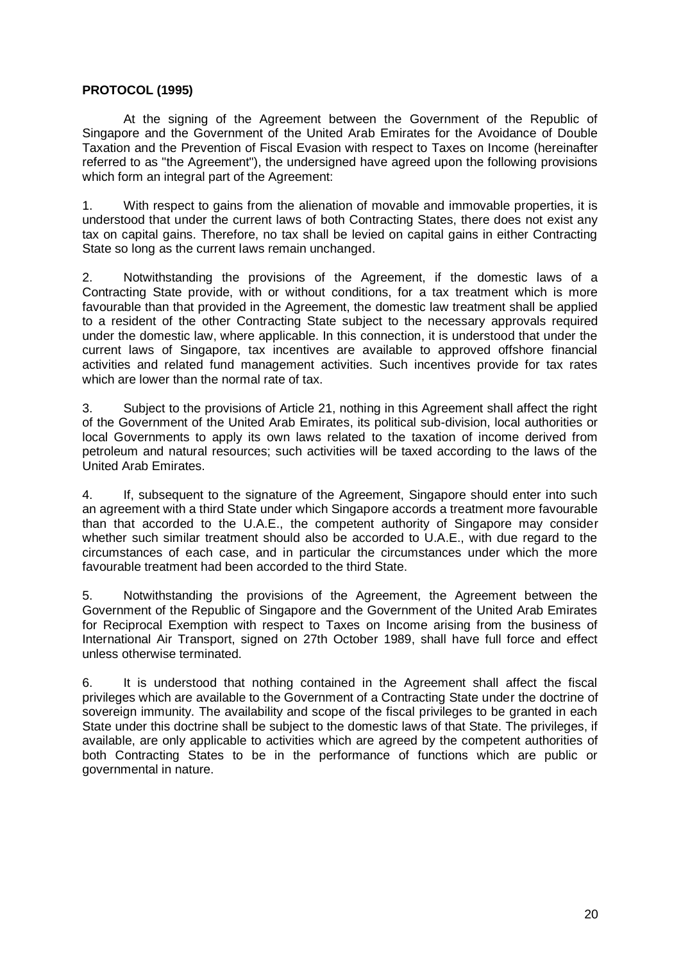#### **PROTOCOL (1995)**

At the signing of the Agreement between the Government of the Republic of Singapore and the Government of the United Arab Emirates for the Avoidance of Double Taxation and the Prevention of Fiscal Evasion with respect to Taxes on Income (hereinafter referred to as "the Agreement"), the undersigned have agreed upon the following provisions which form an integral part of the Agreement:

1. With respect to gains from the alienation of movable and immovable properties, it is understood that under the current laws of both Contracting States, there does not exist any tax on capital gains. Therefore, no tax shall be levied on capital gains in either Contracting State so long as the current laws remain unchanged.

2. Notwithstanding the provisions of the Agreement, if the domestic laws of a Contracting State provide, with or without conditions, for a tax treatment which is more favourable than that provided in the Agreement, the domestic law treatment shall be applied to a resident of the other Contracting State subject to the necessary approvals required under the domestic law, where applicable. In this connection, it is understood that under the current laws of Singapore, tax incentives are available to approved offshore financial activities and related fund management activities. Such incentives provide for tax rates which are lower than the normal rate of tax.

3. Subject to the provisions of Article 21, nothing in this Agreement shall affect the right of the Government of the United Arab Emirates, its political sub-division, local authorities or local Governments to apply its own laws related to the taxation of income derived from petroleum and natural resources; such activities will be taxed according to the laws of the United Arab Emirates.

4. If, subsequent to the signature of the Agreement, Singapore should enter into such an agreement with a third State under which Singapore accords a treatment more favourable than that accorded to the U.A.E., the competent authority of Singapore may consider whether such similar treatment should also be accorded to U.A.E., with due regard to the circumstances of each case, and in particular the circumstances under which the more favourable treatment had been accorded to the third State.

5. Notwithstanding the provisions of the Agreement, the Agreement between the Government of the Republic of Singapore and the Government of the United Arab Emirates for Reciprocal Exemption with respect to Taxes on Income arising from the business of International Air Transport, signed on 27th October 1989, shall have full force and effect unless otherwise terminated.

6. It is understood that nothing contained in the Agreement shall affect the fiscal privileges which are available to the Government of a Contracting State under the doctrine of sovereign immunity. The availability and scope of the fiscal privileges to be granted in each State under this doctrine shall be subject to the domestic laws of that State. The privileges, if available, are only applicable to activities which are agreed by the competent authorities of both Contracting States to be in the performance of functions which are public or governmental in nature.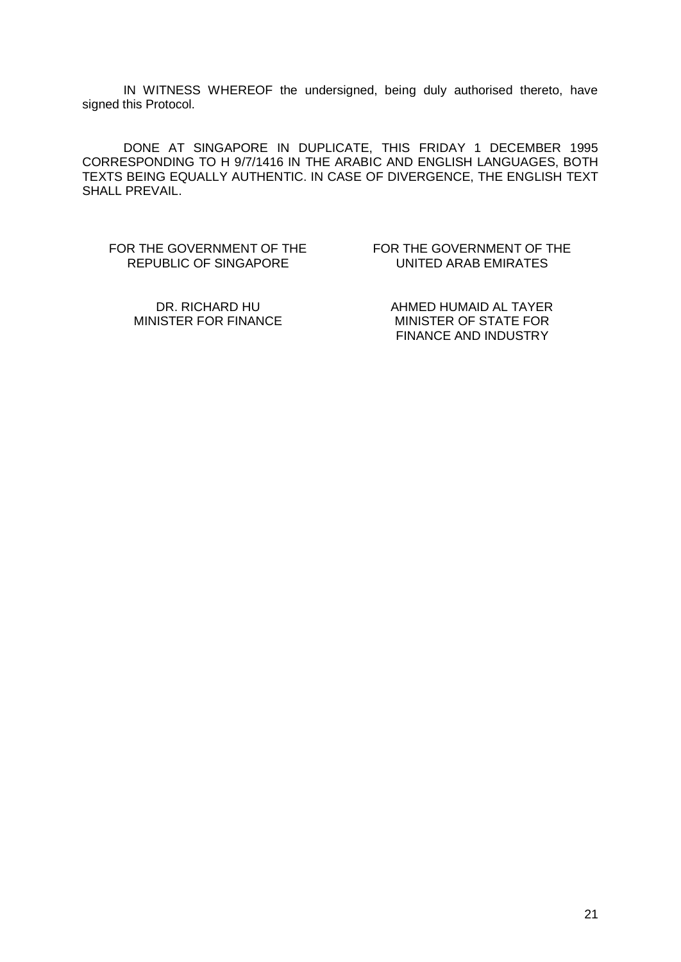IN WITNESS WHEREOF the undersigned, being duly authorised thereto, have signed this Protocol.

DONE AT SINGAPORE IN DUPLICATE, THIS FRIDAY 1 DECEMBER 1995 CORRESPONDING TO H 9/7/1416 IN THE ARABIC AND ENGLISH LANGUAGES, BOTH TEXTS BEING EQUALLY AUTHENTIC. IN CASE OF DIVERGENCE, THE ENGLISH TEXT SHALL PREVAIL.

FOR THE GOVERNMENT OF THE FOR THE GOVERNMENT OF THE REPUBLIC OF SINGAPORE

UNITED ARAB EMIRATES

DR. RICHARD HU MINISTER FOR FINANCE AHMED HUMAID AL TAYER MINISTER OF STATE FOR FINANCE AND INDUSTRY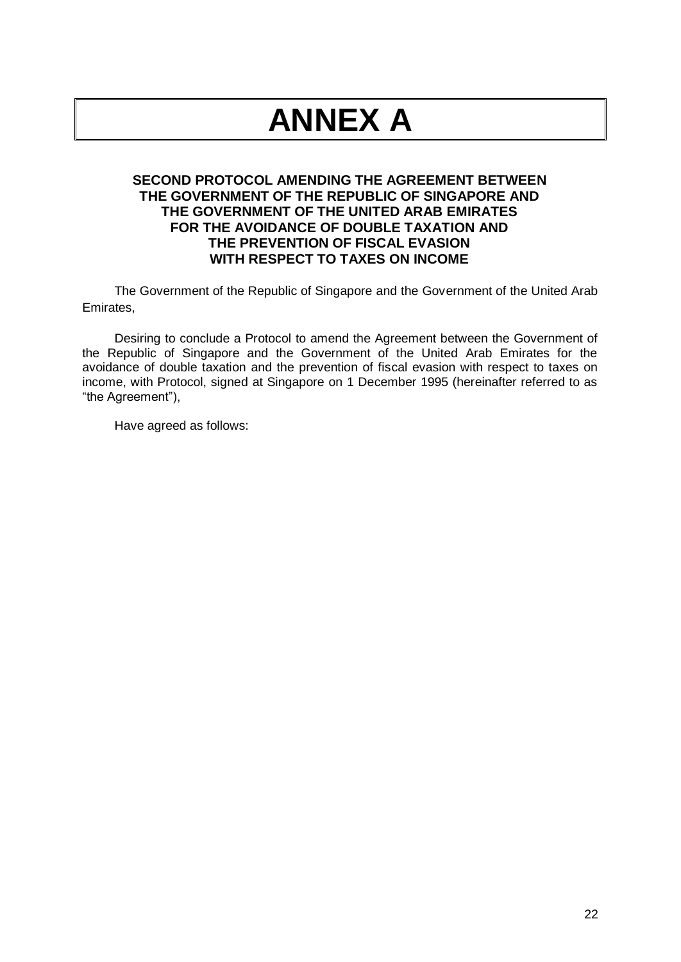# **ANNEX A**

## **SECOND PROTOCOL AMENDING THE AGREEMENT BETWEEN THE GOVERNMENT OF THE REPUBLIC OF SINGAPORE AND THE GOVERNMENT OF THE UNITED ARAB EMIRATES FOR THE AVOIDANCE OF DOUBLE TAXATION AND THE PREVENTION OF FISCAL EVASION WITH RESPECT TO TAXES ON INCOME**

The Government of the Republic of Singapore and the Government of the United Arab Emirates,

Desiring to conclude a Protocol to amend the Agreement between the Government of the Republic of Singapore and the Government of the United Arab Emirates for the avoidance of double taxation and the prevention of fiscal evasion with respect to taxes on income, with Protocol, signed at Singapore on 1 December 1995 (hereinafter referred to as "the Agreement"),

Have agreed as follows: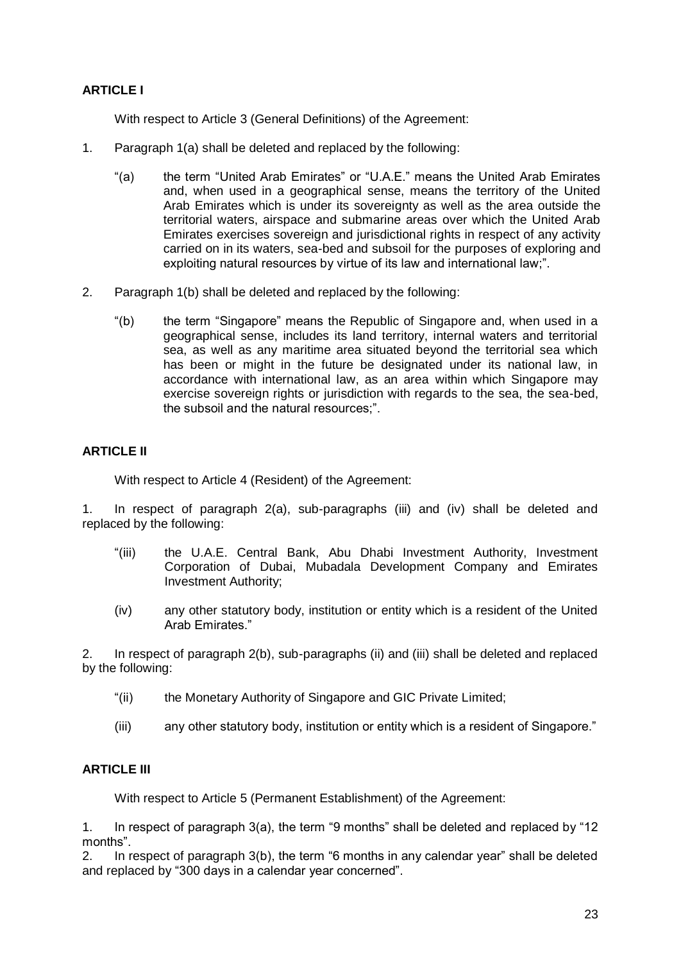## **ARTICLE I**

With respect to Article 3 (General Definitions) of the Agreement:

- 1. Paragraph 1(a) shall be deleted and replaced by the following:
	- "(a) the term "United Arab Emirates" or "U.A.E." means the United Arab Emirates and, when used in a geographical sense, means the territory of the United Arab Emirates which is under its sovereignty as well as the area outside the territorial waters, airspace and submarine areas over which the United Arab Emirates exercises sovereign and jurisdictional rights in respect of any activity carried on in its waters, sea-bed and subsoil for the purposes of exploring and exploiting natural resources by virtue of its law and international law;".
- 2. Paragraph 1(b) shall be deleted and replaced by the following:
	- "(b) the term "Singapore" means the Republic of Singapore and, when used in a geographical sense, includes its land territory, internal waters and territorial sea, as well as any maritime area situated beyond the territorial sea which has been or might in the future be designated under its national law, in accordance with international law, as an area within which Singapore may exercise sovereign rights or jurisdiction with regards to the sea, the sea-bed, the subsoil and the natural resources;".

# **ARTICLE II**

With respect to Article 4 (Resident) of the Agreement:

1. In respect of paragraph 2(a), sub-paragraphs (iii) and (iv) shall be deleted and replaced by the following:

- "(iii) the U.A.E. Central Bank, Abu Dhabi Investment Authority, Investment Corporation of Dubai, Mubadala Development Company and Emirates Investment Authority;
- (iv) any other statutory body, institution or entity which is a resident of the United Arab Emirates."

2. In respect of paragraph 2(b), sub-paragraphs (ii) and (iii) shall be deleted and replaced by the following:

- "(ii) the Monetary Authority of Singapore and GIC Private Limited;
- (iii) any other statutory body, institution or entity which is a resident of Singapore."

## **ARTICLE III**

With respect to Article 5 (Permanent Establishment) of the Agreement:

1. In respect of paragraph 3(a), the term "9 months" shall be deleted and replaced by "12 months".

2. In respect of paragraph 3(b), the term "6 months in any calendar year" shall be deleted and replaced by "300 days in a calendar year concerned".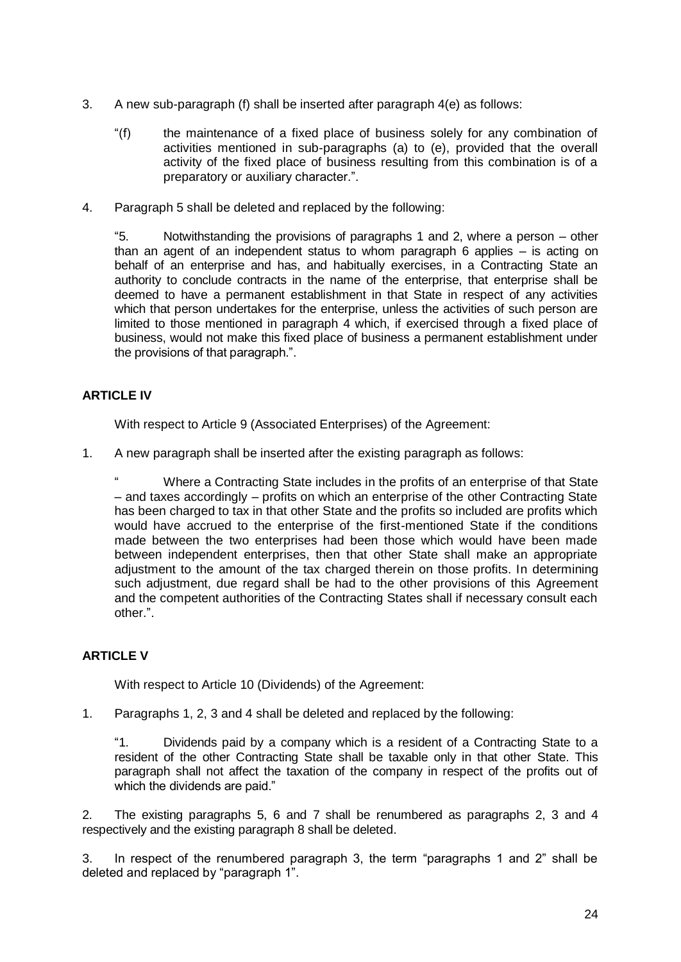- 3. A new sub-paragraph (f) shall be inserted after paragraph 4(e) as follows:
	- "(f) the maintenance of a fixed place of business solely for any combination of activities mentioned in sub-paragraphs (a) to (e), provided that the overall activity of the fixed place of business resulting from this combination is of a preparatory or auxiliary character.".
- 4. Paragraph 5 shall be deleted and replaced by the following:

"5. Notwithstanding the provisions of paragraphs 1 and 2, where a person – other than an agent of an independent status to whom paragraph 6 applies – is acting on behalf of an enterprise and has, and habitually exercises, in a Contracting State an authority to conclude contracts in the name of the enterprise, that enterprise shall be deemed to have a permanent establishment in that State in respect of any activities which that person undertakes for the enterprise, unless the activities of such person are limited to those mentioned in paragraph 4 which, if exercised through a fixed place of business, would not make this fixed place of business a permanent establishment under the provisions of that paragraph.".

## **ARTICLE IV**

With respect to Article 9 (Associated Enterprises) of the Agreement:

1. A new paragraph shall be inserted after the existing paragraph as follows:

Where a Contracting State includes in the profits of an enterprise of that State – and taxes accordingly – profits on which an enterprise of the other Contracting State has been charged to tax in that other State and the profits so included are profits which would have accrued to the enterprise of the first-mentioned State if the conditions made between the two enterprises had been those which would have been made between independent enterprises, then that other State shall make an appropriate adjustment to the amount of the tax charged therein on those profits. In determining such adjustment, due regard shall be had to the other provisions of this Agreement and the competent authorities of the Contracting States shall if necessary consult each other.".

## **ARTICLE V**

With respect to Article 10 (Dividends) of the Agreement:

1. Paragraphs 1, 2, 3 and 4 shall be deleted and replaced by the following:

"1. Dividends paid by a company which is a resident of a Contracting State to a resident of the other Contracting State shall be taxable only in that other State. This paragraph shall not affect the taxation of the company in respect of the profits out of which the dividends are paid."

2. The existing paragraphs 5, 6 and 7 shall be renumbered as paragraphs 2, 3 and 4 respectively and the existing paragraph 8 shall be deleted.

3. In respect of the renumbered paragraph 3, the term "paragraphs 1 and 2" shall be deleted and replaced by "paragraph 1".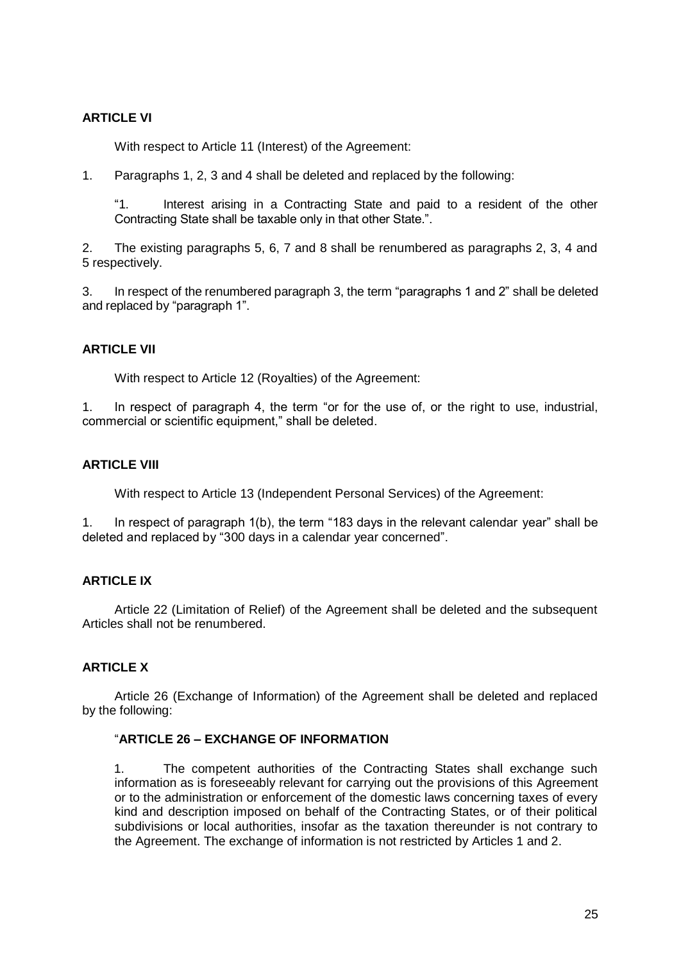### **ARTICLE VI**

With respect to Article 11 (Interest) of the Agreement:

1. Paragraphs 1, 2, 3 and 4 shall be deleted and replaced by the following:

"1. Interest arising in a Contracting State and paid to a resident of the other Contracting State shall be taxable only in that other State.".

2. The existing paragraphs 5, 6, 7 and 8 shall be renumbered as paragraphs 2, 3, 4 and 5 respectively.

3. In respect of the renumbered paragraph 3, the term "paragraphs 1 and 2" shall be deleted and replaced by "paragraph 1".

#### **ARTICLE VII**

With respect to Article 12 (Royalties) of the Agreement:

1. In respect of paragraph 4, the term "or for the use of, or the right to use, industrial, commercial or scientific equipment," shall be deleted.

#### **ARTICLE VIII**

With respect to Article 13 (Independent Personal Services) of the Agreement:

1. In respect of paragraph 1(b), the term "183 days in the relevant calendar year" shall be deleted and replaced by "300 days in a calendar year concerned".

#### **ARTICLE IX**

Article 22 (Limitation of Relief) of the Agreement shall be deleted and the subsequent Articles shall not be renumbered.

#### **ARTICLE X**

Article 26 (Exchange of Information) of the Agreement shall be deleted and replaced by the following:

#### "**ARTICLE 26 – EXCHANGE OF INFORMATION**

1. The competent authorities of the Contracting States shall exchange such information as is foreseeably relevant for carrying out the provisions of this Agreement or to the administration or enforcement of the domestic laws concerning taxes of every kind and description imposed on behalf of the Contracting States, or of their political subdivisions or local authorities, insofar as the taxation thereunder is not contrary to the Agreement. The exchange of information is not restricted by Articles 1 and 2.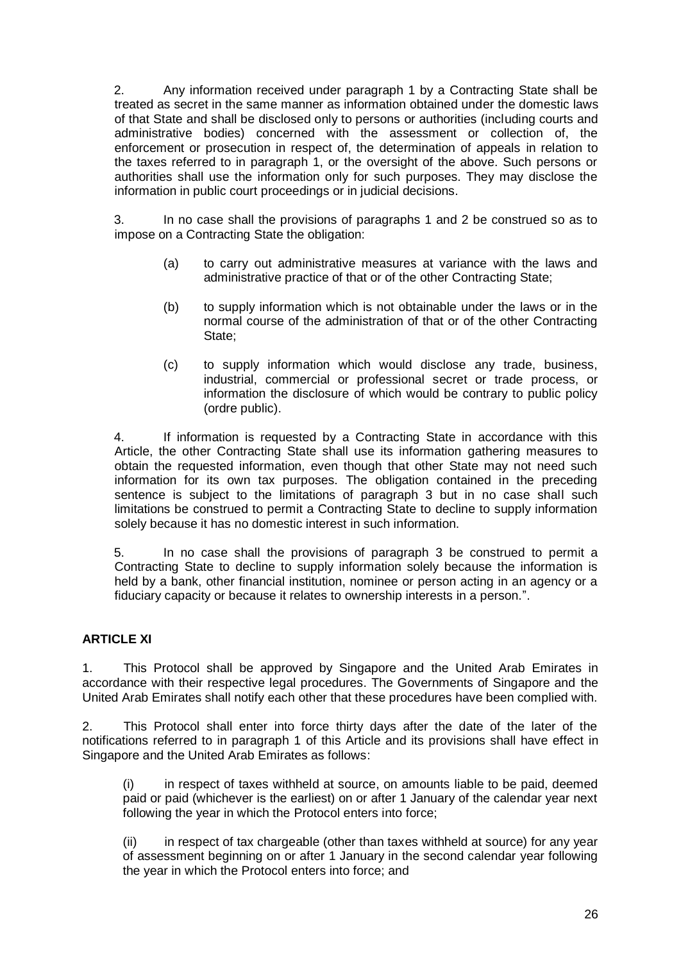2. Any information received under paragraph 1 by a Contracting State shall be treated as secret in the same manner as information obtained under the domestic laws of that State and shall be disclosed only to persons or authorities (including courts and administrative bodies) concerned with the assessment or collection of, the enforcement or prosecution in respect of, the determination of appeals in relation to the taxes referred to in paragraph 1, or the oversight of the above. Such persons or authorities shall use the information only for such purposes. They may disclose the information in public court proceedings or in judicial decisions.

3. In no case shall the provisions of paragraphs 1 and 2 be construed so as to impose on a Contracting State the obligation:

- (a) to carry out administrative measures at variance with the laws and administrative practice of that or of the other Contracting State;
- (b) to supply information which is not obtainable under the laws or in the normal course of the administration of that or of the other Contracting State;
- (c) to supply information which would disclose any trade, business, industrial, commercial or professional secret or trade process, or information the disclosure of which would be contrary to public policy (ordre public).

4. If information is requested by a Contracting State in accordance with this Article, the other Contracting State shall use its information gathering measures to obtain the requested information, even though that other State may not need such information for its own tax purposes. The obligation contained in the preceding sentence is subject to the limitations of paragraph 3 but in no case shall such limitations be construed to permit a Contracting State to decline to supply information solely because it has no domestic interest in such information.

5. In no case shall the provisions of paragraph 3 be construed to permit a Contracting State to decline to supply information solely because the information is held by a bank, other financial institution, nominee or person acting in an agency or a fiduciary capacity or because it relates to ownership interests in a person.".

## **ARTICLE XI**

1. This Protocol shall be approved by Singapore and the United Arab Emirates in accordance with their respective legal procedures. The Governments of Singapore and the United Arab Emirates shall notify each other that these procedures have been complied with.

2. This Protocol shall enter into force thirty days after the date of the later of the notifications referred to in paragraph 1 of this Article and its provisions shall have effect in Singapore and the United Arab Emirates as follows:

(i) in respect of taxes withheld at source, on amounts liable to be paid, deemed paid or paid (whichever is the earliest) on or after 1 January of the calendar year next following the year in which the Protocol enters into force;

(ii) in respect of tax chargeable (other than taxes withheld at source) for any year of assessment beginning on or after 1 January in the second calendar year following the year in which the Protocol enters into force; and